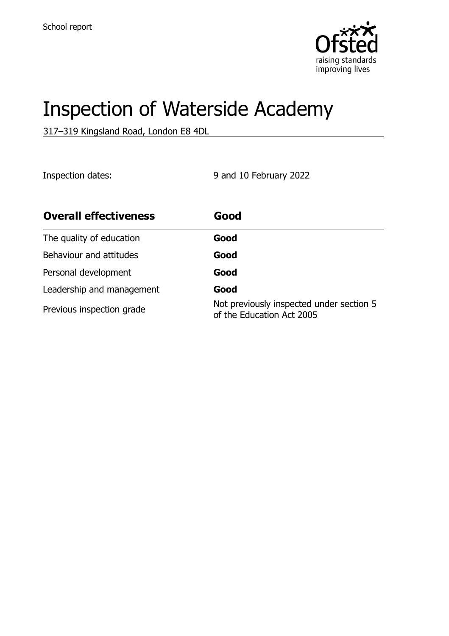

# Inspection of Waterside Academy

317–319 Kingsland Road, London E8 4DL

Inspection dates: 9 and 10 February 2022

| <b>Overall effectiveness</b> | Good                                                                  |
|------------------------------|-----------------------------------------------------------------------|
| The quality of education     | Good                                                                  |
| Behaviour and attitudes      | Good                                                                  |
| Personal development         | Good                                                                  |
| Leadership and management    | Good                                                                  |
| Previous inspection grade    | Not previously inspected under section 5<br>of the Education Act 2005 |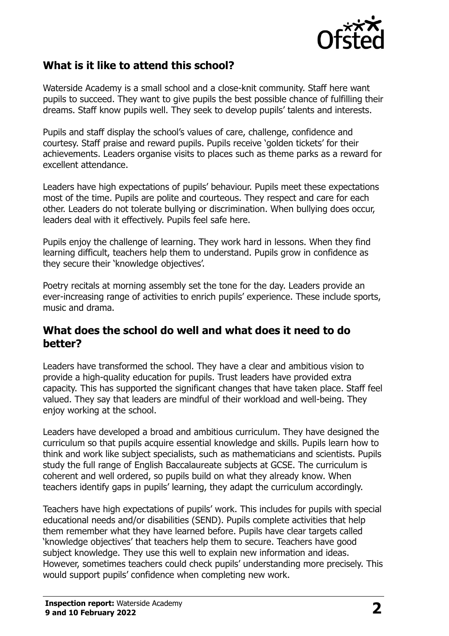

#### **What is it like to attend this school?**

Waterside Academy is a small school and a close-knit community. Staff here want pupils to succeed. They want to give pupils the best possible chance of fulfilling their dreams. Staff know pupils well. They seek to develop pupils' talents and interests.

Pupils and staff display the school's values of care, challenge, confidence and courtesy. Staff praise and reward pupils. Pupils receive 'golden tickets' for their achievements. Leaders organise visits to places such as theme parks as a reward for excellent attendance.

Leaders have high expectations of pupils' behaviour. Pupils meet these expectations most of the time. Pupils are polite and courteous. They respect and care for each other. Leaders do not tolerate bullying or discrimination. When bullying does occur, leaders deal with it effectively. Pupils feel safe here.

Pupils enjoy the challenge of learning. They work hard in lessons. When they find learning difficult, teachers help them to understand. Pupils grow in confidence as they secure their 'knowledge objectives'.

Poetry recitals at morning assembly set the tone for the day. Leaders provide an ever-increasing range of activities to enrich pupils' experience. These include sports, music and drama.

#### **What does the school do well and what does it need to do better?**

Leaders have transformed the school. They have a clear and ambitious vision to provide a high-quality education for pupils. Trust leaders have provided extra capacity. This has supported the significant changes that have taken place. Staff feel valued. They say that leaders are mindful of their workload and well-being. They enjoy working at the school.

Leaders have developed a broad and ambitious curriculum. They have designed the curriculum so that pupils acquire essential knowledge and skills. Pupils learn how to think and work like subject specialists, such as mathematicians and scientists. Pupils study the full range of English Baccalaureate subjects at GCSE. The curriculum is coherent and well ordered, so pupils build on what they already know. When teachers identify gaps in pupils' learning, they adapt the curriculum accordingly.

Teachers have high expectations of pupils' work. This includes for pupils with special educational needs and/or disabilities (SEND). Pupils complete activities that help them remember what they have learned before. Pupils have clear targets called 'knowledge objectives' that teachers help them to secure. Teachers have good subject knowledge. They use this well to explain new information and ideas. However, sometimes teachers could check pupils' understanding more precisely. This would support pupils' confidence when completing new work.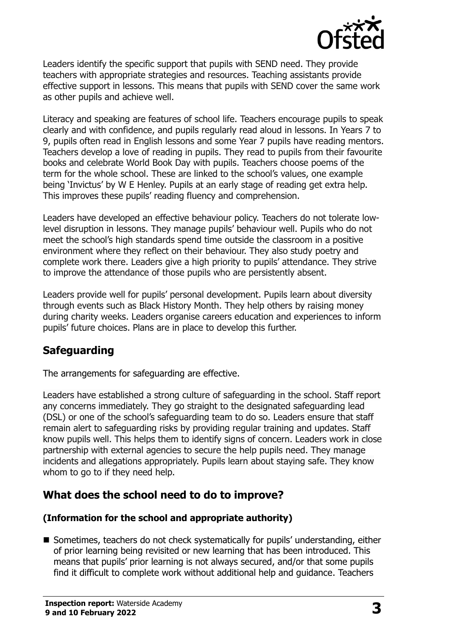

Leaders identify the specific support that pupils with SEND need. They provide teachers with appropriate strategies and resources. Teaching assistants provide effective support in lessons. This means that pupils with SEND cover the same work as other pupils and achieve well.

Literacy and speaking are features of school life. Teachers encourage pupils to speak clearly and with confidence, and pupils regularly read aloud in lessons. In Years 7 to 9, pupils often read in English lessons and some Year 7 pupils have reading mentors. Teachers develop a love of reading in pupils. They read to pupils from their favourite books and celebrate World Book Day with pupils. Teachers choose poems of the term for the whole school. These are linked to the school's values, one example being 'Invictus' by W E Henley. Pupils at an early stage of reading get extra help. This improves these pupils' reading fluency and comprehension.

Leaders have developed an effective behaviour policy. Teachers do not tolerate lowlevel disruption in lessons. They manage pupils' behaviour well. Pupils who do not meet the school's high standards spend time outside the classroom in a positive environment where they reflect on their behaviour. They also study poetry and complete work there. Leaders give a high priority to pupils' attendance. They strive to improve the attendance of those pupils who are persistently absent.

Leaders provide well for pupils' personal development. Pupils learn about diversity through events such as Black History Month. They help others by raising money during charity weeks. Leaders organise careers education and experiences to inform pupils' future choices. Plans are in place to develop this further.

# **Safeguarding**

The arrangements for safeguarding are effective.

Leaders have established a strong culture of safeguarding in the school. Staff report any concerns immediately. They go straight to the designated safeguarding lead (DSL) or one of the school's safeguarding team to do so. Leaders ensure that staff remain alert to safeguarding risks by providing regular training and updates. Staff know pupils well. This helps them to identify signs of concern. Leaders work in close partnership with external agencies to secure the help pupils need. They manage incidents and allegations appropriately. Pupils learn about staying safe. They know whom to go to if they need help.

# **What does the school need to do to improve?**

#### **(Information for the school and appropriate authority)**

■ Sometimes, teachers do not check systematically for pupils' understanding, either of prior learning being revisited or new learning that has been introduced. This means that pupils' prior learning is not always secured, and/or that some pupils find it difficult to complete work without additional help and guidance. Teachers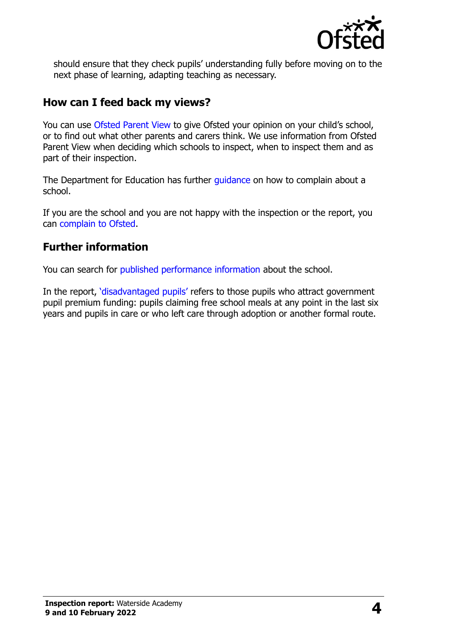

should ensure that they check pupils' understanding fully before moving on to the next phase of learning, adapting teaching as necessary.

#### **How can I feed back my views?**

You can use [Ofsted Parent View](http://parentview.ofsted.gov.uk/) to give Ofsted your opinion on your child's school, or to find out what other parents and carers think. We use information from Ofsted Parent View when deciding which schools to inspect, when to inspect them and as part of their inspection.

The Department for Education has further quidance on how to complain about a school.

If you are the school and you are not happy with the inspection or the report, you can [complain to Ofsted.](http://www.gov.uk/complain-ofsted-report)

# **Further information**

You can search for [published performance information](http://www.compare-school-performance.service.gov.uk/) about the school.

In the report, '[disadvantaged pupils](http://www.gov.uk/guidance/pupil-premium-information-for-schools-and-alternative-provision-settings)' refers to those pupils who attract government pupil premium funding: pupils claiming free school meals at any point in the last six years and pupils in care or who left care through adoption or another formal route.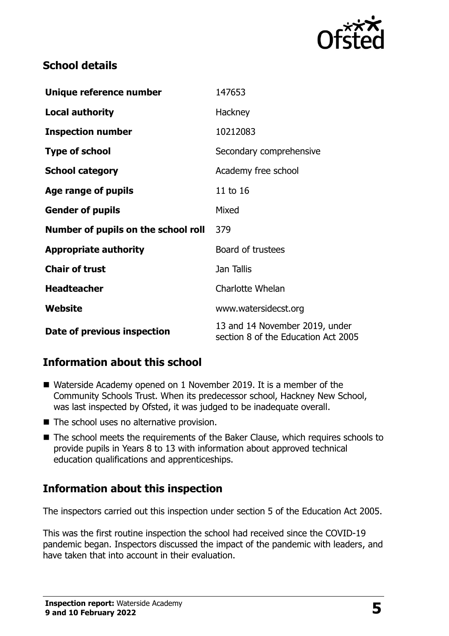

#### **School details**

| Unique reference number             | 147653                                                                |
|-------------------------------------|-----------------------------------------------------------------------|
| <b>Local authority</b>              | Hackney                                                               |
| <b>Inspection number</b>            | 10212083                                                              |
| <b>Type of school</b>               | Secondary comprehensive                                               |
| <b>School category</b>              | Academy free school                                                   |
| Age range of pupils                 | 11 to 16                                                              |
| <b>Gender of pupils</b>             | Mixed                                                                 |
| Number of pupils on the school roll | 379                                                                   |
| <b>Appropriate authority</b>        | Board of trustees                                                     |
| <b>Chair of trust</b>               | Jan Tallis                                                            |
| <b>Headteacher</b>                  | Charlotte Whelan                                                      |
| Website                             | www.watersidecst.org                                                  |
| Date of previous inspection         | 13 and 14 November 2019, under<br>section 8 of the Education Act 2005 |

# **Information about this school**

- Waterside Academy opened on 1 November 2019. It is a member of the Community Schools Trust. When its predecessor school, Hackney New School, was last inspected by Ofsted, it was judged to be inadequate overall.
- The school uses no alternative provision.
- The school meets the requirements of the Baker Clause, which requires schools to provide pupils in Years 8 to 13 with information about approved technical education qualifications and apprenticeships.

# **Information about this inspection**

The inspectors carried out this inspection under section 5 of the Education Act 2005.

This was the first routine inspection the school had received since the COVID-19 pandemic began. Inspectors discussed the impact of the pandemic with leaders, and have taken that into account in their evaluation.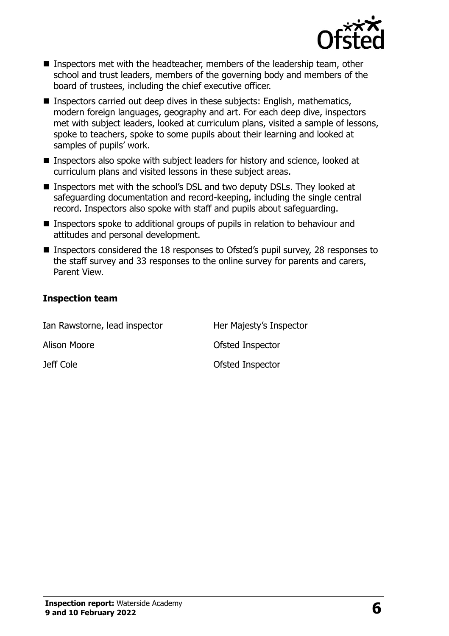

- Inspectors met with the headteacher, members of the leadership team, other school and trust leaders, members of the governing body and members of the board of trustees, including the chief executive officer.
- Inspectors carried out deep dives in these subjects: English, mathematics, modern foreign languages, geography and art. For each deep dive, inspectors met with subject leaders, looked at curriculum plans, visited a sample of lessons, spoke to teachers, spoke to some pupils about their learning and looked at samples of pupils' work.
- Inspectors also spoke with subject leaders for history and science, looked at curriculum plans and visited lessons in these subject areas.
- Inspectors met with the school's DSL and two deputy DSLs. They looked at safeguarding documentation and record-keeping, including the single central record. Inspectors also spoke with staff and pupils about safeguarding.
- Inspectors spoke to additional groups of pupils in relation to behaviour and attitudes and personal development.
- Inspectors considered the 18 responses to Ofsted's pupil survey, 28 responses to the staff survey and 33 responses to the online survey for parents and carers, Parent View.

#### **Inspection team**

| Ian Rawstorne, lead inspector | Her Majesty's Inspector |
|-------------------------------|-------------------------|
| Alison Moore                  | Ofsted Inspector        |
| Jeff Cole                     | Ofsted Inspector        |